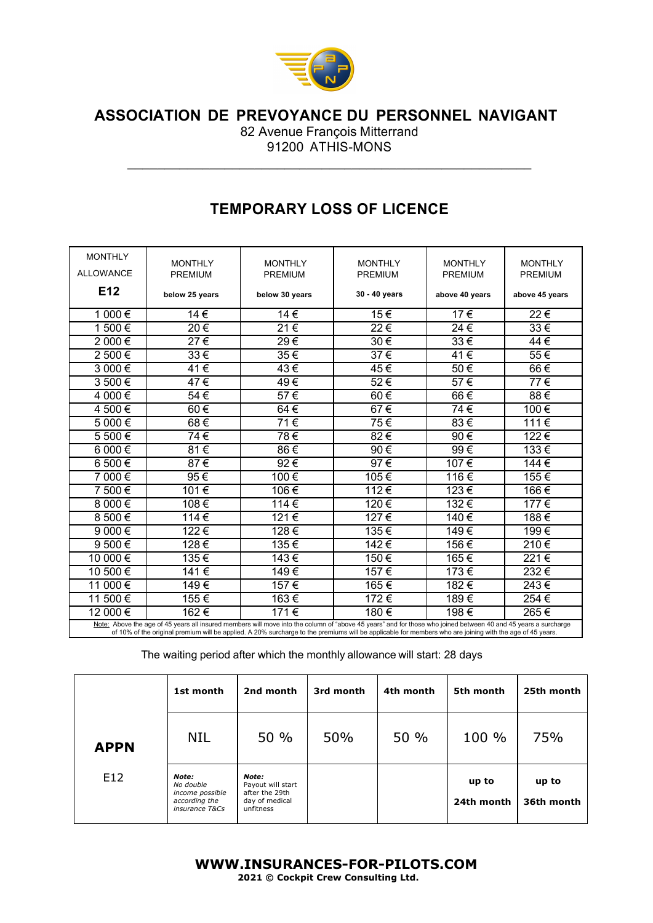

 **ASSOCIATION DE PREVOYANCE DU PERSONNEL NAVIGANT**

82 Avenue François Mitterrand 91200 ATHIS-MONS

 $\mathcal{L}_\mathcal{L}$  , and the contribution of the contribution of the contribution of the contribution of the contribution of the contribution of the contribution of the contribution of the contribution of the contribution of

## **TEMPORARY LOSS OF LICENCE**

| <b>MONTHLY</b>                                                                                                                                                                                                                                                                                                             |                                  |                                  |                                  |                                  |                                  |
|----------------------------------------------------------------------------------------------------------------------------------------------------------------------------------------------------------------------------------------------------------------------------------------------------------------------------|----------------------------------|----------------------------------|----------------------------------|----------------------------------|----------------------------------|
| <b>ALLOWANCE</b>                                                                                                                                                                                                                                                                                                           | <b>MONTHLY</b><br><b>PREMIUM</b> | <b>MONTHLY</b><br><b>PREMIUM</b> | <b>MONTHLY</b><br><b>PREMIUM</b> | <b>MONTHLY</b><br><b>PREMIUM</b> | <b>MONTHLY</b><br><b>PREMIUM</b> |
|                                                                                                                                                                                                                                                                                                                            |                                  |                                  |                                  |                                  |                                  |
| E12                                                                                                                                                                                                                                                                                                                        | below 25 years                   | below 30 years                   | 30 - 40 years                    | above 40 years                   | above 45 years                   |
| 1 000€                                                                                                                                                                                                                                                                                                                     | 14€                              | 14€                              | 15€                              | 17€                              | 22€                              |
| 1 500€                                                                                                                                                                                                                                                                                                                     | $20 \in$                         | 21€                              | 22€                              | $24 \in$                         | $33 \in$                         |
| 2 000€                                                                                                                                                                                                                                                                                                                     | 27€                              | 29€                              | 30€                              | 33€                              | 44€                              |
| 2 500€                                                                                                                                                                                                                                                                                                                     | 33€                              | $35 \in$                         | 37€                              | 41€                              | 55€                              |
| 3 000€                                                                                                                                                                                                                                                                                                                     | 41€                              | $43 \in$                         | 45€                              | 50€                              | 66€                              |
| 3 500€                                                                                                                                                                                                                                                                                                                     | 47€                              | 49€                              | 52€                              | 57€                              | 77€                              |
| 4 000€                                                                                                                                                                                                                                                                                                                     | $54 \in$                         | $57 \in$                         | 60€                              | 66€                              | 88€                              |
| 4 500€                                                                                                                                                                                                                                                                                                                     | 60€                              | 64€                              | 67€                              | 74€                              | 100€                             |
| 5 000€                                                                                                                                                                                                                                                                                                                     | 68€                              | 71€                              | 75€                              | 83€                              | 111€                             |
| 5 500€                                                                                                                                                                                                                                                                                                                     | $74 \overline{\epsilon}$         | 78€                              | 82€                              | 90€                              | 122€                             |
| 6 000€                                                                                                                                                                                                                                                                                                                     | 81€                              | 86€                              | $90 \in$                         | $99 \in$                         | 133€                             |
| 6 500€                                                                                                                                                                                                                                                                                                                     | 87€                              | 92€                              | 97€                              | 107€                             | 144€                             |
| 7 000€                                                                                                                                                                                                                                                                                                                     | 95€                              | 100€                             | 105€                             | 116€                             | 155€                             |
| 7 500€                                                                                                                                                                                                                                                                                                                     | 101€                             | 106€                             | 112€                             | 123€                             | 166€                             |
| 8 000€                                                                                                                                                                                                                                                                                                                     | 108€                             | 114 $\overline{\epsilon}$        | 120€                             | 132€                             | 177€                             |
| 8 500€                                                                                                                                                                                                                                                                                                                     | 114 $\overline{\epsilon}$        | 121€                             | 127€                             | 140€                             | 188€                             |
| $9000 \in$                                                                                                                                                                                                                                                                                                                 | 122€                             | 128€                             | 135€                             | 149€                             | 199€                             |
| $9500 \in$                                                                                                                                                                                                                                                                                                                 | 128€                             | 135€                             | 142€                             | 156€                             | 210€                             |
| 10 000€                                                                                                                                                                                                                                                                                                                    | 135€                             | $143 \in$                        | 150€                             | 165€                             | 221€                             |
| 10 500 €                                                                                                                                                                                                                                                                                                                   | 141€                             | 149€                             | 157€                             | 173€                             | 232€                             |
| 11 000 €                                                                                                                                                                                                                                                                                                                   | 149€                             | 157€                             | 165€                             | 182€                             | 243€                             |
| 11 500 €                                                                                                                                                                                                                                                                                                                   | 155€                             | 163€                             | 172€                             | 189€                             | 254€                             |
| 12 000€                                                                                                                                                                                                                                                                                                                    | 162€                             | 171 €                            | 180€                             | 198€                             | 265€                             |
| Note: Above the age of 45 years all insured members will move into the column of "above 45 years" and for those who joined between 40 and 45 years a surcharge<br>of 10% of the original premium will be applied. A 20% surcharge to the premiums will be applicable for members who are joining with the age of 45 years. |                                  |                                  |                                  |                                  |                                  |

The waiting period after which the monthly allowance will start: 28 days

|             | 1st month                                                                | 2nd month                                                                   | 3rd month | 4th month | 5th month           | 25th month          |
|-------------|--------------------------------------------------------------------------|-----------------------------------------------------------------------------|-----------|-----------|---------------------|---------------------|
| <b>APPN</b> | <b>NIL</b>                                                               | 50 %                                                                        | 50%       | 50 %      | 100 %               | 75%                 |
| E12         | Note:<br>No double<br>income possible<br>according the<br>insurance T&Cs | Note:<br>Payout will start<br>after the 29th<br>day of medical<br>unfitness |           |           | up to<br>24th month | up to<br>36th month |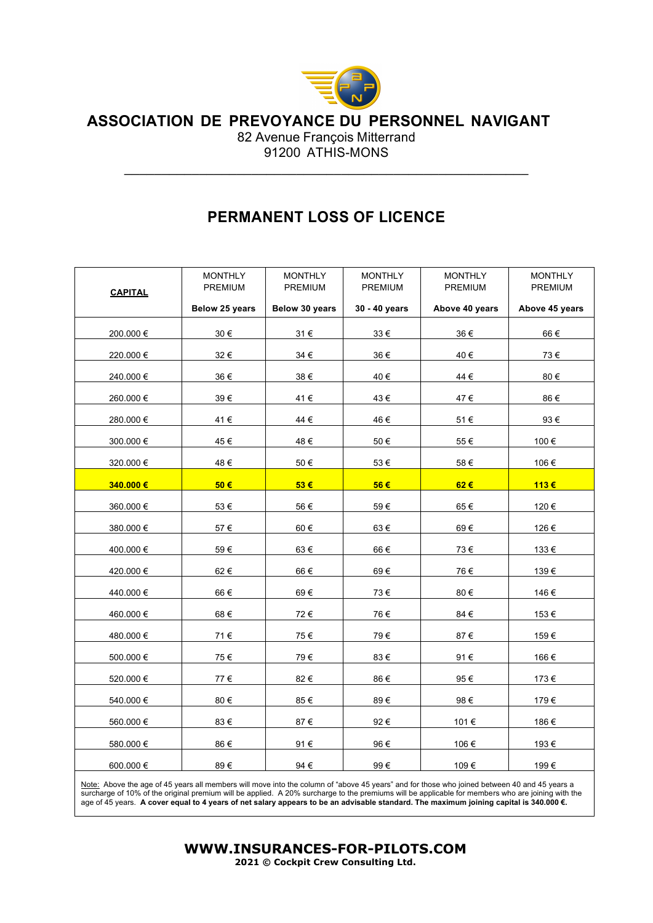

## **ASSOCIATION DE PREVOYANCE DU PERSONNEL NAVIGANT**

82 Avenue François Mitterrand 91200 ATHIS-MONS

 $\mathcal{L}_\mathcal{L}$  , and the contribution of the contribution of the contribution of the contribution of the contribution of the contribution of the contribution of the contribution of the contribution of the contribution of

## **PERMANENT LOSS OF LICENCE**

| <b>CAPITAL</b> | <b>MONTHLY</b><br>PREMIUM | <b>MONTHLY</b><br>PREMIUM | <b>MONTHLY</b><br>PREMIUM | <b>MONTHLY</b><br>PREMIUM | <b>MONTHLY</b><br>PREMIUM |
|----------------|---------------------------|---------------------------|---------------------------|---------------------------|---------------------------|
|                | Below 25 years            | Below 30 years            | 30 - 40 years             | Above 40 years            | Above 45 years            |
| 200.000 €      | 30€                       | 31€                       | 33€                       | 36€                       | 66€                       |
| 220.000€       | 32€                       | 34€                       | 36€                       | 40€                       | 73€                       |
| 240.000€       | 36€                       | $38 \in$                  | 40€                       | 44€                       | 80€                       |
| 260.000€       | 39€                       | 41€                       | 43€                       | 47€                       | 86€                       |
| 280.000€       | 41€                       | 44 €                      | 46€                       | 51€                       | 93€                       |
| 300.000€       | 45€                       | 48€                       | $50\in$                   | 55€                       | 100€                      |
| 320.000€       | 48€                       | 50€                       | 53€                       | 58€                       | 106€                      |
| 340.000 €      | 50€                       | 53€                       | 56€                       | 62€                       | 113€                      |
|                |                           |                           |                           |                           |                           |
| 360.000€       | 53€                       | 56€                       | 59€                       | 65€                       | 120€                      |
| 380.000€       | 57€                       | 60€                       | 63€                       | 69€                       | 126€                      |
| 400.000€       | 59€                       | 63€                       | 66€                       | 73€                       | 133€                      |
| 420.000€       | 62€                       | 66€                       | 69€                       | 76€                       | 139€                      |
| 440.000€       | 66€                       | 69€                       | 73€                       | 80€                       | 146€                      |
| 460.000 €      | 68€                       | 72€                       | 76€                       | 84€                       | 153€                      |
| 480.000€       | 71€                       | 75€                       | 79€                       | 87€                       | 159€                      |
| 500.000 €      | 75€                       | 79€                       | 83€                       | 91€                       | 166€                      |
| 520.000€       | 77€                       | 82€                       | 86€                       | 95€                       | 173€                      |
| 540.000€       | 80€                       | 85€                       | 89€                       | 98€                       | 179€                      |
| 560.000€       | 83€                       | 87€                       | 92€                       | 101€                      | 186€                      |
| 580.000€       | 86€                       | 91€                       | 96€                       | 106€                      | 193€                      |
| 600.000€       | 89 $\in$                  | 94€                       | 99€                       | 109€                      | 199€                      |
|                |                           |                           |                           |                           |                           |

Note: Above the age of 45 years all members will move into the column of "above 45 years" and for those who joined between 40 and 45 years a surcharge of 10% of the original premium will be applied. A 20% surcharge to the premiums will be applicable for members who are joining with the<br>age of 45 years. **A cover equal to 4 years of net salary appears to be an** 

> **WWW.INSURANCES-FOR-PILOTS.COM 2021 © Cockpit Crew Consulting Ltd.**